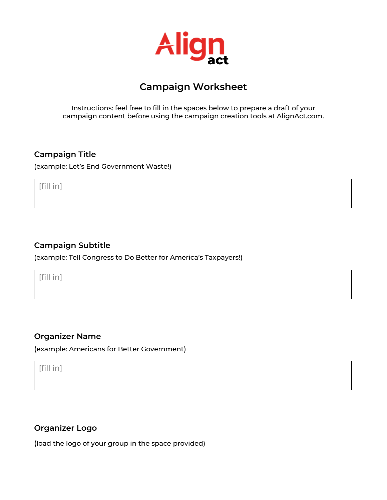

# **Campaign Worksheet**

Instructions: feel free to fill in the spaces below to prepare a draft of your campaign content before using the campaign creation tools at AlignAct.com.

### **Campaign Title**

(example: Let's End Government Waste!)

[fill in]

### **Campaign Subtitle**

(example: Tell Congress to Do Better for America's Taxpayers!)

[fill in]

#### **Organizer Name**

(example: Americans for Better Government)

[fill in]

# **Organizer Logo**

(load the logo of your group in the space provided)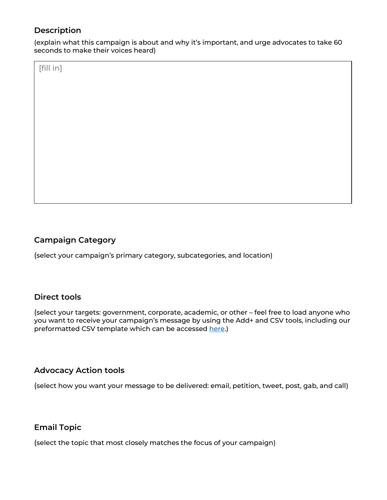# **Description**

(explain what this campaign is about and why it's important, and urge advocates to take 60 seconds to make their voices heard)

[fill in]

# **Campaign Category**

(select your campaign's primary category, subcategories, and location)

### **Direct tools**

(select your targets: government, corporate, academic, or other – feel free to load anyone who you want to receive your campaign's message by using the Add+ and CSV tools, including our preformatted CSV template which can be accessed here.)

#### **Advocacy Action tools**

(select how you want your message to be delivered: email, petition, tweet, post, gab, and call)

### **Email Topic**

(select the topic that most closely matches the focus of your campaign)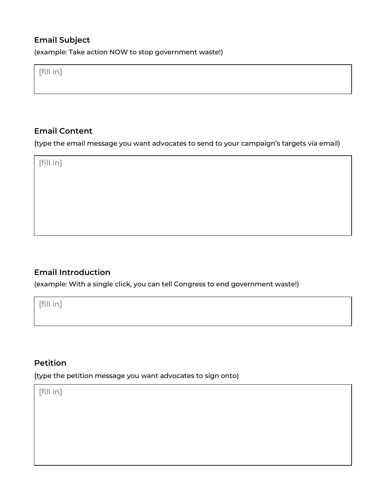# **Email Subject**

(example: Take action NOW to stop government waste!)

[fill in]

## **Email Content**

(type the email message you want advocates to send to your campaign's targets via email)

[fill in]

# **Email Introduction**

(example: With a single click, you can tell Congress to end government waste!)

[fill in]

### **Petition**

(type the petition message you want advocates to sign onto)

[fill in]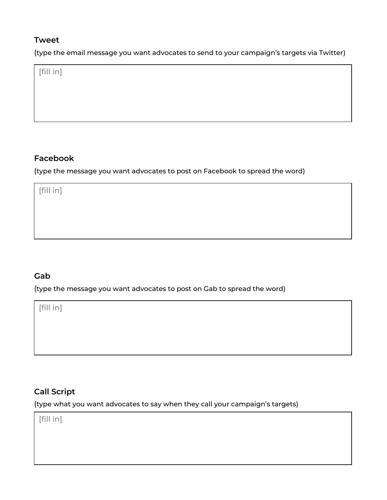### **Tweet**

(type the email message you want advocates to send to your campaign's targets via Twitter)

[fill in]

## **Facebook**

(type the message you want advocates to post on Facebook to spread the word)

[fill in]

# **Gab**

(type the message you want advocates to post on Gab to spread the word)

[fill in]

# **Call Script**

(type what you want advocates to say when they call your campaign's targets)

[fill in]